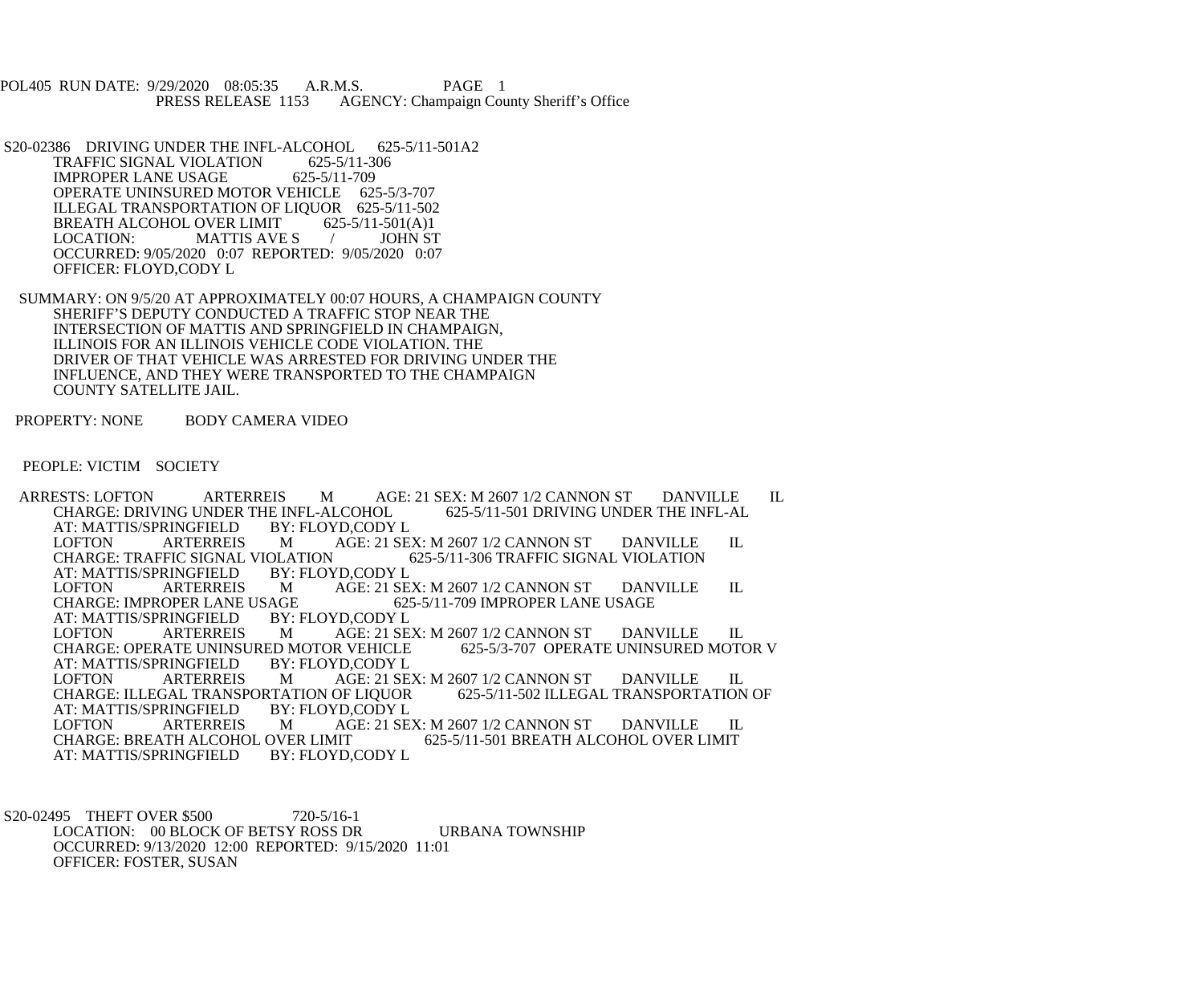POL405 RUN DATE: 9/29/2020 08:05:35 A.R.M.S. PAGE 1<br>PRESS RELEASE 1153 AGENCY: Champaign Cou AGENCY: Champaign County Sheriff's Office

S20-02386 DRIVING UNDER THE INFL-ALCOHOL 625-5/11-501A2<br>TRAFFIC SIGNAL VIOLATION 625-5/11-306 TRAFFIC SIGNAL VIOLATION 625-5/11-30<br>IMPROPER LANE USAGE 625-5/11-709 IMPROPER LANE USAGE OPERATE UNINSURED MOTOR VEHICLE 625-5/3-707 ILLEGAL TRANSPORTATION OF LIQUOR 625-5/11-502<br>BREATH ALCOHOL OVER LIMIT 625-5/11-501(A)1 BREATH ALCOHOL OVER LIMIT 625-5/11-501(A)1<br>LOCATION: MATTIS AVE S / JOHN ST MATTIS AVE S  $/$  OCCURRED: 9/05/2020 0:07 REPORTED: 9/05/2020 0:07 OFFICER: FLOYD,CODY L

 SUMMARY: ON 9/5/20 AT APPROXIMATELY 00:07 HOURS, A CHAMPAIGN COUNTY SHERIFF'S DEPUTY CONDUCTED A TRAFFIC STOP NEAR THE INTERSECTION OF MATTIS AND SPRINGFIELD IN CHAMPAIGN, ILLINOIS FOR AN ILLINOIS VEHICLE CODE VIOLATION. THE DRIVER OF THAT VEHICLE WAS ARRESTED FOR DRIVING UNDER THE INFLUENCE, AND THEY WERE TRANSPORTED TO THE CHAMPAIGN COUNTY SATELLITE JAIL.

PROPERTY: NONE BODY CAMERA VIDEO

PEOPLE: VICTIM SOCIETY

 ARRESTS: LOFTON ARTERREIS M AGE: 21 SEX: M 2607 1/2 CANNON ST DANVILLE IL CHARGE: DRIVING UNDER THE INFL-ALCOHOL 625-5/11-501 DRIVING UNDER THE INFL-AL<br>AT: MATTIS/SPRINGFIELD BY: FLOYD.CODY L AT: MATTIS/SPRINGFIELD BY:<br>LOFTON ARTERREIS M LOFTON ARTERREIS M AGE: 21 SEX: M 2607 1/2 CANNON ST DANVILLE IL CHARGE: TRAFFIC SIGNAL VIOLATION 625-5/11-306 TRAFFIC SIGNAL VIOLATION OLATION 625-5/11-306 TRAFFIC SIGNAL VIOLATION<br>BY: FLOYD.CODY L AT: MATTIS/SPRINGFIELD BY:<br>LOFTON ARTERREIS M LOFTON ARTERREIS M AGE: 21 SEX: M 2607 1/2 CANNON ST DANVILLE IL<br>CHARGE: IMPROPER LANE USAGE 625-5/11-709 IMPROPER LANE USAGE CHARGE: IMPROPER LANE USAGE 62:<br>AT: MATTIS/SPRINGFIELD BY: FLOYD.CODY L AT: MATTIS/SPRINGFIELD BY:<br>LOFTON ARTERREIS M AGE: 21 SEX: M 2607 1/2 CANNON ST DANVILLE IL<br>R VEHICLE 625-5/3-707 OPERATE UNINSURED MOTOR V CHARGE: OPERATE UNINSURED MOTOR VEHICLE<br>AT: MATTIS/SPRINGFIELD BY: FLOYD.CODY L AT: MATTIS/SPRINGFIELD BY: FLOYD,CODY L LOFTON ARTERREIS M AGE: 21 SEX: M 2607 1/2 CANNON ST DANVILLE IL CHARGE: ILLEGAL TRANSPORTATION OF LIQUOR 625-5/11-502 ILLEGAL TRANSPORTATION OF CHARGE: ILLEGAL TRANSPORTATION OF LIQUOR<br>AT: MATTIS/SPRINGFIELD BY: FLOYD.CODY L AT: MATTIS/SPRINGFIELD BY:<br>LOFTON ARTERREIS M LOFTON ARTERREIS M AGE: 21 SEX: M 2607 1/2 CANNON ST DANVILLE IL CHARGE: BREATH ALCOHOL OVER LIMIT OVER LIMIT 625-5/11-501 BREATH ALCOHOL OVER LIMIT<br>BY: FLOYD.CODY L AT: MATTIS/SPRINGFIELD

S20-02495 THEFT OVER \$500 720-5/16-1 LOCATION: 00 BLOCK OF BETSY ROSS DR URBANA TOWNSHIP OCCURRED: 9/13/2020 12:00 REPORTED: 9/15/2020 11:01 OFFICER: FOSTER, SUSAN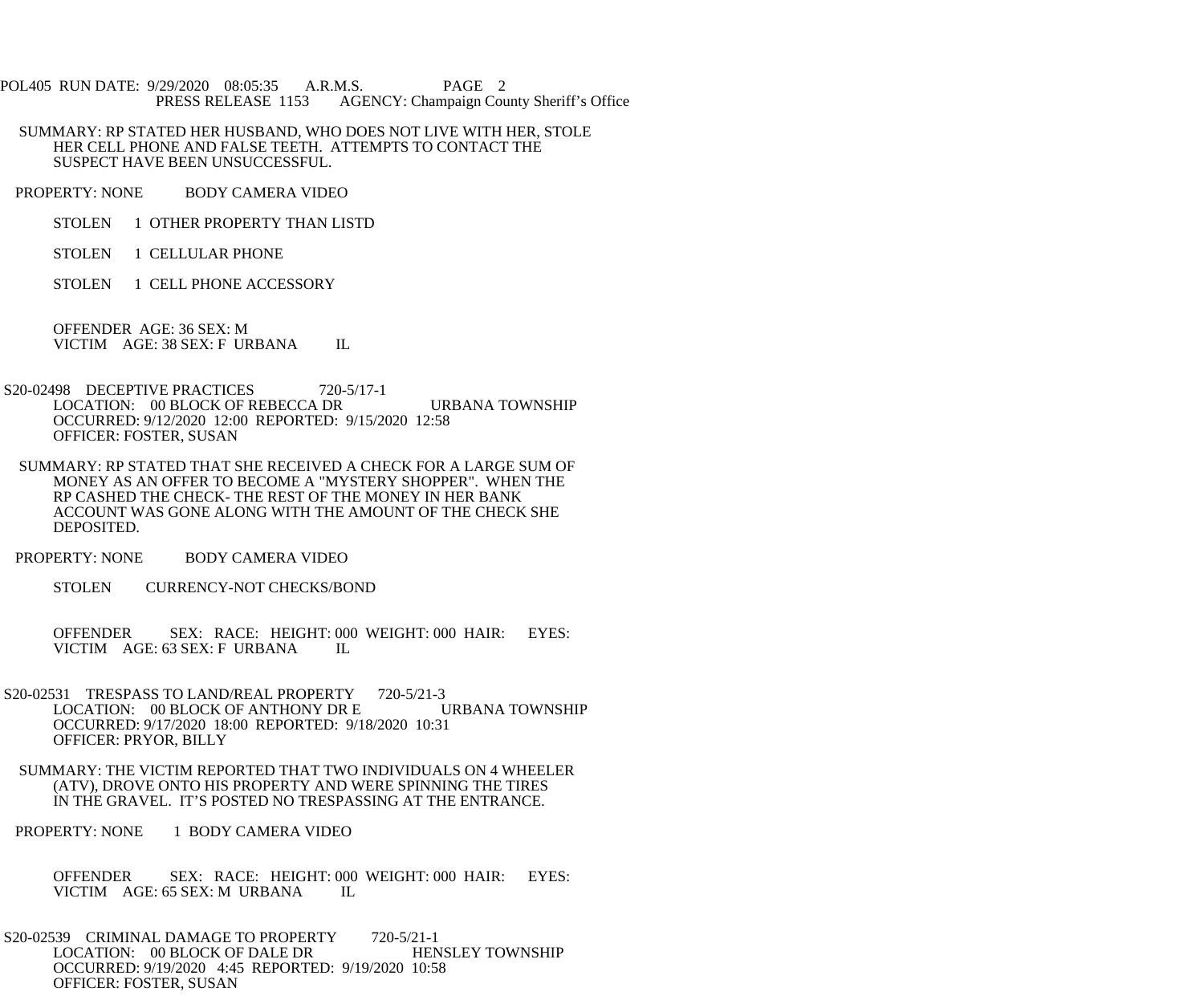- POL405 RUN DATE: 9/29/2020 08:05:35 A.R.M.S. PAGE 2<br>PRESS RELEASE 1153 AGENCY: Champaign Cou AGENCY: Champaign County Sheriff's Office
- SUMMARY: RP STATED HER HUSBAND, WHO DOES NOT LIVE WITH HER, STOLE HER CELL PHONE AND FALSE TEETH. ATTEMPTS TO CONTACT THE SUSPECT HAVE BEEN UNSUCCESSFUL.
- PROPERTY: NONE BODY CAMERA VIDEO
	- STOLEN 1 OTHER PROPERTY THAN LISTD
	- STOLEN 1 CELLULAR PHONE
	- STOLEN 1 CELL PHONE ACCESSORY

 OFFENDER AGE: 36 SEX: M VICTIM AGE: 38 SEX: F URBANA IL

- S20-02498 DECEPTIVE PRACTICES 720-5/17-1 LOCATION: 00 BLOCK OF REBECCA DR URBANA TOWNSHIP OCCURRED: 9/12/2020 12:00 REPORTED: 9/15/2020 12:58 OFFICER: FOSTER, SUSAN
- SUMMARY: RP STATED THAT SHE RECEIVED A CHECK FOR A LARGE SUM OF MONEY AS AN OFFER TO BECOME A "MYSTERY SHOPPER". WHEN THE RP CASHED THE CHECK- THE REST OF THE MONEY IN HER BANK ACCOUNT WAS GONE ALONG WITH THE AMOUNT OF THE CHECK SHE DEPOSITED.
- PROPERTY: NONE BODY CAMERA VIDEO
	- STOLEN CURRENCY-NOT CHECKS/BOND
	- OFFENDER SEX: RACE: HEIGHT: 000 WEIGHT: 000 HAIR: EYES: VICTIM AGE: 63 SEX: F URBANA IL
- S20-02531 TRESPASS TO LAND/REAL PROPERTY 720-5/21-3<br>LOCATION: 00 BLOCK OF ANTHONY DR E URBANA TOWNSHIP LOCATION: 00 BLOCK OF ANTHONY DR E OCCURRED: 9/17/2020 18:00 REPORTED: 9/18/2020 10:31 OFFICER: PRYOR, BILLY
- SUMMARY: THE VICTIM REPORTED THAT TWO INDIVIDUALS ON 4 WHEELER (ATV), DROVE ONTO HIS PROPERTY AND WERE SPINNING THE TIRES IN THE GRAVEL. IT'S POSTED NO TRESPASSING AT THE ENTRANCE.
- PROPERTY: NONE 1 BODY CAMERA VIDEO
	- OFFENDER SEX: RACE: HEIGHT: 000 WEIGHT: 000 HAIR: EYES: VICTIM AGE: 65 SEX: M URBANA IL VICTIM AGE: 65 SEX: M URBANA
- S20-02539 CRIMINAL DAMAGE TO PROPERTY 720-5/21-1 LOCATION: 00 BLOCK OF DALE DR HENSLEY TOWNSHIP OCCURRED: 9/19/2020 4:45 REPORTED: 9/19/2020 10:58 OFFICER: FOSTER, SUSAN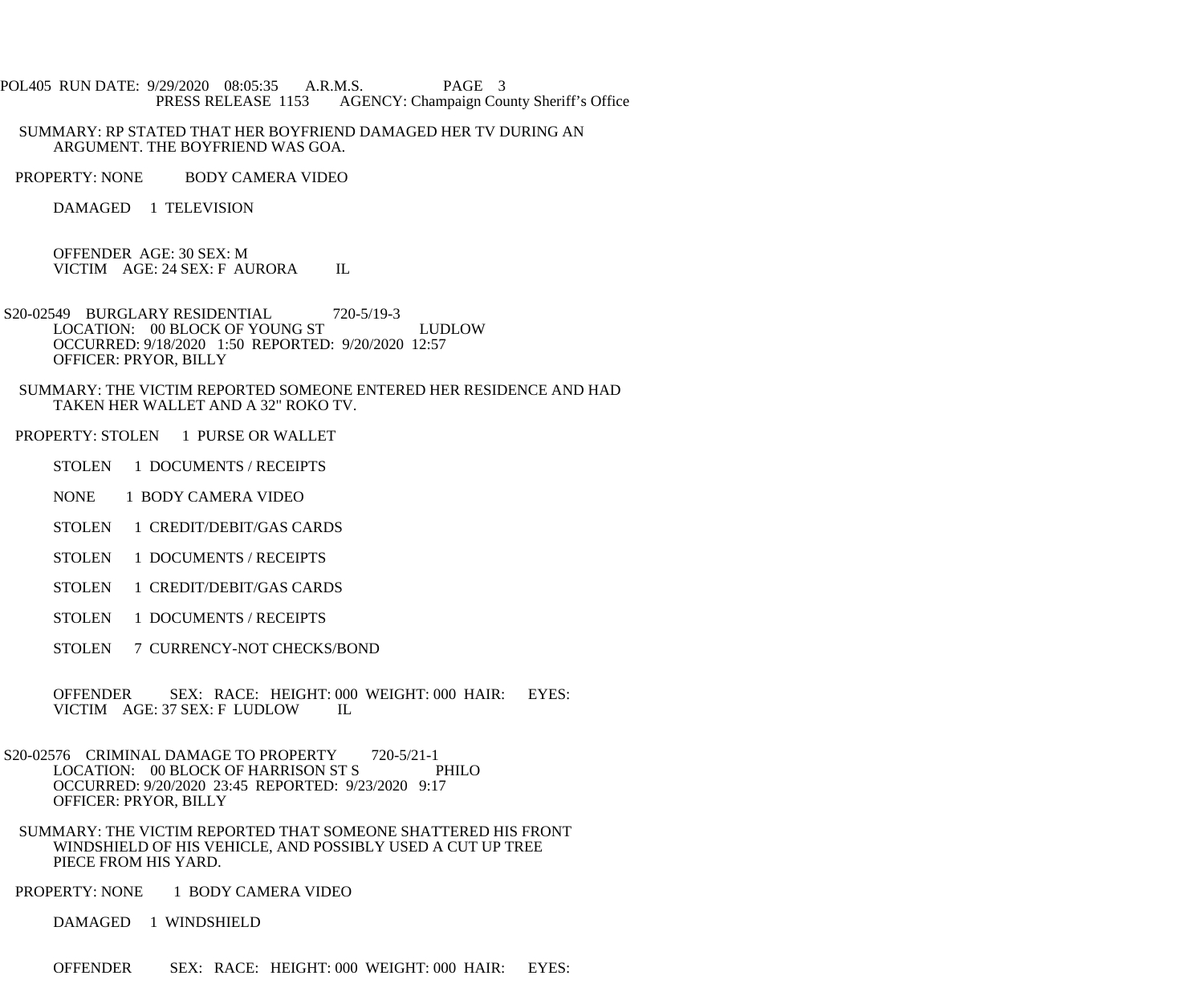POL405 RUN DATE: 9/29/2020 08:05:35 A.R.M.S. PAGE 3 PRESS RELEASE 1153 AGENCY: Champaign County Sheriff's Office

 SUMMARY: RP STATED THAT HER BOYFRIEND DAMAGED HER TV DURING AN ARGUMENT. THE BOYFRIEND WAS GOA.

PROPERTY: NONE BODY CAMERA VIDEO

DAMAGED 1 TELEVISION

 OFFENDER AGE: 30 SEX: M VICTIM AGE: 24 SEX: F AURORA IL

S20-02549 BURGLARY RESIDENTIAL 720-5/19-3 LOCATION: 00 BLOCK OF YOUNG ST LUDLOW OCCURRED: 9/18/2020 1:50 REPORTED: 9/20/2020 12:57 OFFICER: PRYOR, BILLY

 SUMMARY: THE VICTIM REPORTED SOMEONE ENTERED HER RESIDENCE AND HAD TAKEN HER WALLET AND A 32" ROKO TV.

PROPERTY: STOLEN 1 PURSE OR WALLET

STOLEN 1 DOCUMENTS / RECEIPTS

NONE 1 BODY CAMERA VIDEO

STOLEN 1 CREDIT/DEBIT/GAS CARDS

STOLEN 1 DOCUMENTS / RECEIPTS

STOLEN 1 CREDIT/DEBIT/GAS CARDS

STOLEN 1 DOCUMENTS / RECEIPTS

STOLEN 7 CURRENCY-NOT CHECKS/BOND

OFFENDER SEX: RACE: HEIGHT: 000 WEIGHT: 000 HAIR: EYES:<br>VICTIM AGE: 37 SEX: F LUDLOW IL VICTIM AGE: 37 SEX: F LUDLOW

S20-02576 CRIMINAL DAMAGE TO PROPERTY 720-5/21-1<br>LOCATION: 00 BLOCK OF HARRISON ST S LOCATION: 00 BLOCK OF HARRISON ST S OCCURRED: 9/20/2020 23:45 REPORTED: 9/23/2020 9:17 OFFICER: PRYOR, BILLY

 SUMMARY: THE VICTIM REPORTED THAT SOMEONE SHATTERED HIS FRONT WINDSHIELD OF HIS VEHICLE, AND POSSIBLY USED A CUT UP TREE PIECE FROM HIS YARD.

PROPERTY: NONE 1 BODY CAMERA VIDEO

DAMAGED 1 WINDSHIELD

OFFENDER SEX: RACE: HEIGHT: 000 WEIGHT: 000 HAIR: EYES: